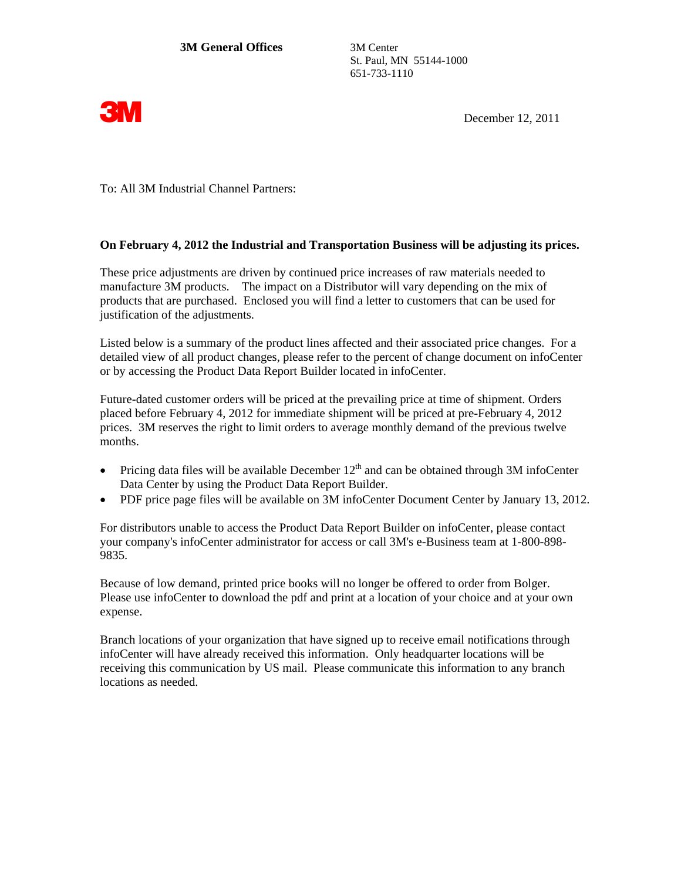St. Paul, MN 55144-1000 651-733-1110



**3M** December 12, 2011

To: All 3M Industrial Channel Partners:

## **On February 4, 2012 the Industrial and Transportation Business will be adjusting its prices.**

These price adjustments are driven by continued price increases of raw materials needed to manufacture 3M products. The impact on a Distributor will vary depending on the mix of products that are purchased. Enclosed you will find a letter to customers that can be used for justification of the adjustments.

Listed below is a summary of the product lines affected and their associated price changes. For a detailed view of all product changes, please refer to the percent of change document on infoCenter or by accessing the Product Data Report Builder located in infoCenter.

Future-dated customer orders will be priced at the prevailing price at time of shipment. Orders placed before February 4, 2012 for immediate shipment will be priced at pre-February 4, 2012 prices. 3M reserves the right to limit orders to average monthly demand of the previous twelve months.

- Pricing data files will be available December  $12<sup>th</sup>$  and can be obtained through 3M infoCenter Data Center by using the Product Data Report Builder.
- PDF price page files will be available on 3M infoCenter Document Center by January 13, 2012.

For distributors unable to access the Product Data Report Builder on infoCenter, please contact your company's infoCenter administrator for access or call 3M's e-Business team at 1-800-898- 9835.

Because of low demand, printed price books will no longer be offered to order from Bolger. Please use infoCenter to download the pdf and print at a location of your choice and at your own expense.

Branch locations of your organization that have signed up to receive email notifications through infoCenter will have already received this information. Only headquarter locations will be receiving this communication by US mail. Please communicate this information to any branch locations as needed.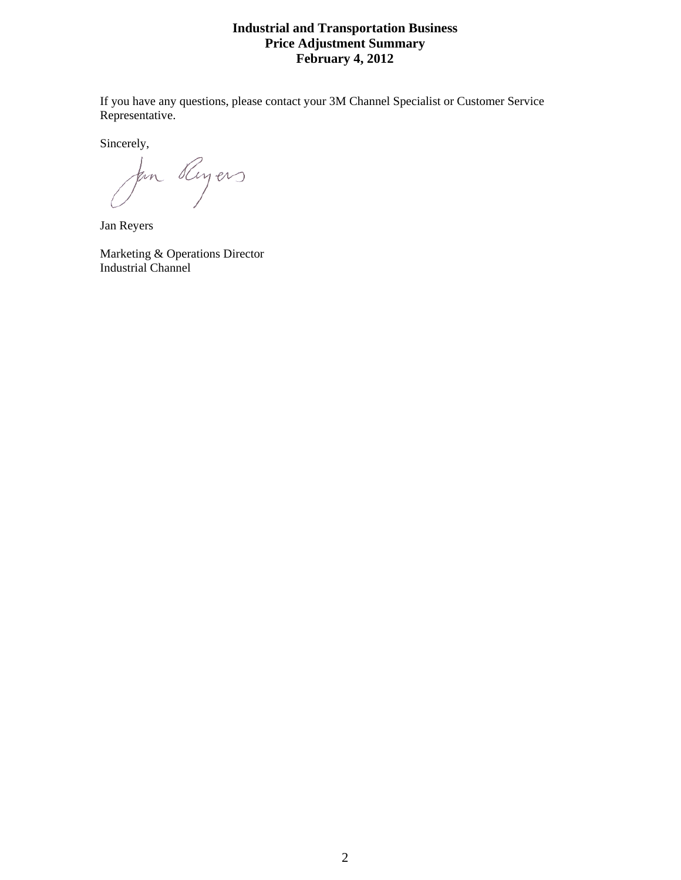## **Industrial and Transportation Business Price Adjustment Summary February 4, 2012**

If you have any questions, please contact your 3M Channel Specialist or Customer Service Representative.

Sincerely,

for Royers

Jan Reyers

Marketing & Operations Director Industrial Channel